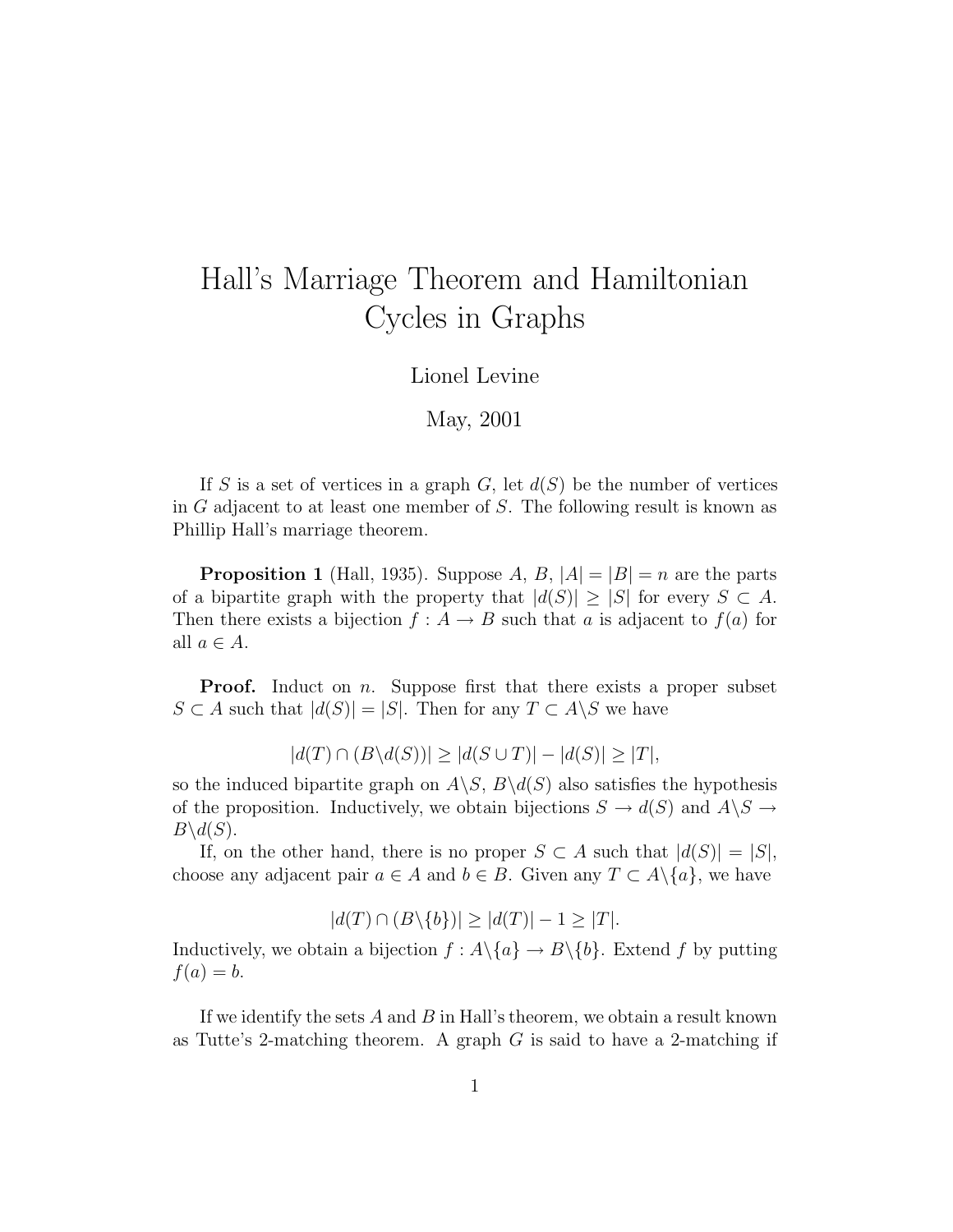## Hall's Marriage Theorem and Hamiltonian Cycles in Graphs

Lionel Levine

## May, 2001

If S is a set of vertices in a graph  $G$ , let  $d(S)$  be the number of vertices in  $G$  adjacent to at least one member of  $S$ . The following result is known as Phillip Hall's marriage theorem.

**Proposition 1** (Hall, 1935). Suppose A, B,  $|A| = |B| = n$  are the parts of a bipartite graph with the property that  $|d(S)| \geq |S|$  for every  $S \subset A$ . Then there exists a bijection  $f : A \to B$  such that a is adjacent to  $f(a)$  for all  $a \in A$ .

**Proof.** Induct on *n*. Suppose first that there exists a proper subset  $S \subset A$  such that  $|d(S)| = |S|$ . Then for any  $T \subset A \backslash S$  we have

$$
|d(T) \cap (B \backslash d(S))| \ge |d(S \cup T)| - |d(S)| \ge |T|,
$$

so the induced bipartite graph on  $A\backslash S$ ,  $B\backslash d(S)$  also satisfies the hypothesis of the proposition. Inductively, we obtain bijections  $S \to d(S)$  and  $A \setminus S \to$  $B\backslash d(S)$ .

If, on the other hand, there is no proper  $S \subset A$  such that  $|d(S)| = |S|$ , choose any adjacent pair  $a \in A$  and  $b \in B$ . Given any  $T \subset A \setminus \{a\}$ , we have

$$
|d(T) \cap (B \setminus \{b\})| \ge |d(T)| - 1 \ge |T|.
$$

Inductively, we obtain a bijection  $f : A \setminus \{a\} \to B \setminus \{b\}$ . Extend f by putting  $f(a) = b.$ 

If we identify the sets  $A$  and  $B$  in Hall's theorem, we obtain a result known as Tutte's 2-matching theorem. A graph  $G$  is said to have a 2-matching if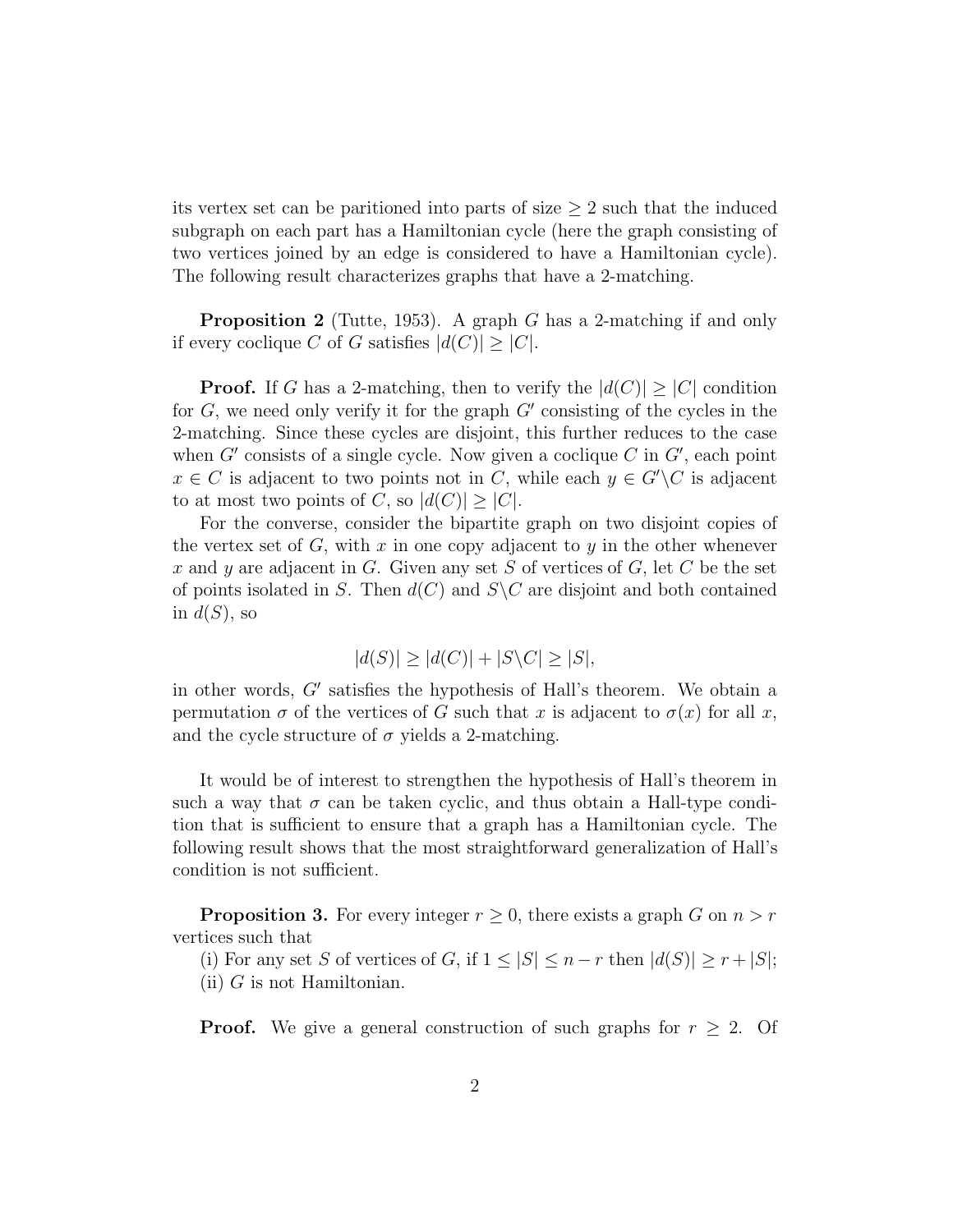its vertex set can be paritioned into parts of size  $\geq 2$  such that the induced subgraph on each part has a Hamiltonian cycle (here the graph consisting of two vertices joined by an edge is considered to have a Hamiltonian cycle). The following result characterizes graphs that have a 2-matching.

**Proposition 2** (Tutte, 1953). A graph G has a 2-matching if and only if every coclique C of G satisfies  $|d(C)| \geq |C|$ .

**Proof.** If G has a 2-matching, then to verify the  $|d(C)| \geq |C|$  condition for  $G$ , we need only verify it for the graph  $G'$  consisting of the cycles in the 2-matching. Since these cycles are disjoint, this further reduces to the case when  $G'$  consists of a single cycle. Now given a coclique  $C$  in  $G'$ , each point  $x \in C$  is adjacent to two points not in C, while each  $y \in G' \backslash C$  is adjacent to at most two points of C, so  $|d(C)| \geq |C|$ .

For the converse, consider the bipartite graph on two disjoint copies of the vertex set of  $G$ , with x in one copy adjacent to y in the other whenever x and y are adjacent in G. Given any set S of vertices of G, let C be the set of points isolated in S. Then  $d(C)$  and  $S\backslash C$  are disjoint and both contained in  $d(S)$ , so

$$
|d(S)| \ge |d(C)| + |S \backslash C| \ge |S|,
$$

in other words,  $G'$  satisfies the hypothesis of Hall's theorem. We obtain a permutation  $\sigma$  of the vertices of G such that x is adjacent to  $\sigma(x)$  for all x, and the cycle structure of  $\sigma$  yields a 2-matching.

It would be of interest to strengthen the hypothesis of Hall's theorem in such a way that  $\sigma$  can be taken cyclic, and thus obtain a Hall-type condition that is sufficient to ensure that a graph has a Hamiltonian cycle. The following result shows that the most straightforward generalization of Hall's condition is not sufficient.

**Proposition 3.** For every integer  $r \geq 0$ , there exists a graph G on  $n > r$ vertices such that

(i) For any set S of vertices of G, if  $1 \leq |S| \leq n-r$  then  $|d(S)| \geq r+|S|$ ;  $(ii)$  G is not Hamiltonian.

**Proof.** We give a general construction of such graphs for  $r \geq 2$ . Of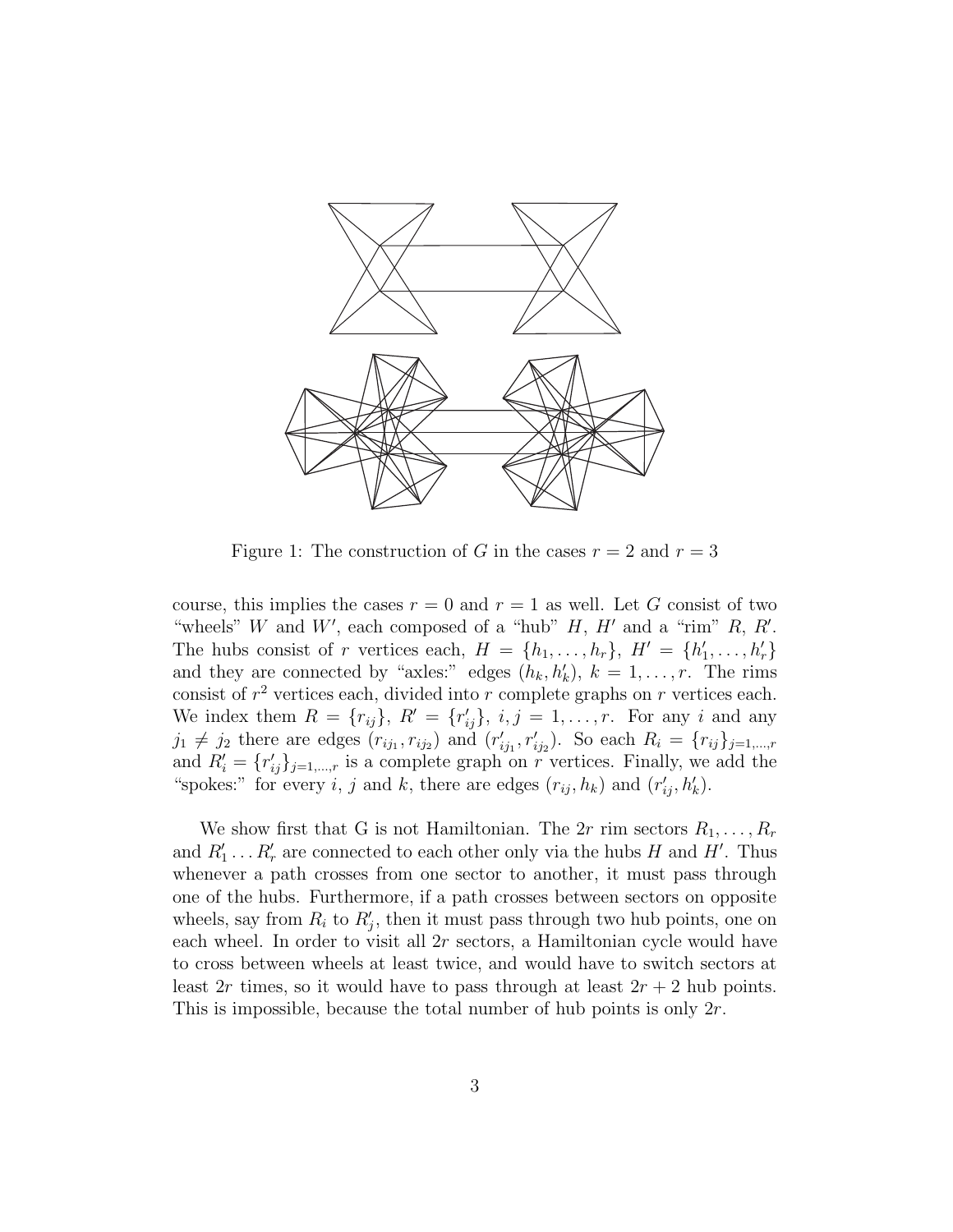

Figure 1: The construction of G in the cases  $r = 2$  and  $r = 3$ 

course, this implies the cases  $r = 0$  and  $r = 1$  as well. Let G consist of two "wheels" W and W', each composed of a "hub"  $H$ ,  $H'$  and a "rim"  $R$ ,  $R'$ . The hubs consist of r vertices each,  $H = \{h_1, \ldots, h_r\}$ ,  $H' = \{h'_1\}$  $\{1, \ldots, h_{r}'\}$ and they are connected by "axles:" edges  $(h_k, h'_k)$ ,  $k = 1, \ldots, r$ . The rims consist of  $r^2$  vertices each, divided into r complete graphs on r vertices each. We index them  $R = \{r_{ij}\}, R' = \{r'_{ij}\}, i, j = 1, \ldots, r$ . For any i and any  $j_1 \neq j_2$  there are edges  $(r_{ij_1}, r_{ij_2})$  and  $(r'_i)$  $i_{ij_1}^{'}, r'_{ij_2}$ ). So each  $R_i = \{r_{ij}\}_{j=1,\dots,r}$ and  $R'_i = \{r'_{ij}\}_{j=1,\dots,r}$  is a complete graph on r vertices. Finally, we add the "spokes:" for every i, j and k, there are edges  $(r_{ij}, h_k)$  and  $(r'_{ij}, h'_k)$ .

We show first that G is not Hamiltonian. The 2r rim sectors  $R_1, \ldots, R_r$ and  $R'_1 \ldots R'_r$  are connected to each other only via the hubs H and H'. Thus whenever a path crosses from one sector to another, it must pass through one of the hubs. Furthermore, if a path crosses between sectors on opposite wheels, say from  $R_i$  to  $R'_j$ , then it must pass through two hub points, one on each wheel. In order to visit all  $2r$  sectors, a Hamiltonian cycle would have to cross between wheels at least twice, and would have to switch sectors at least 2r times, so it would have to pass through at least  $2r + 2$  hub points. This is impossible, because the total number of hub points is only  $2r$ .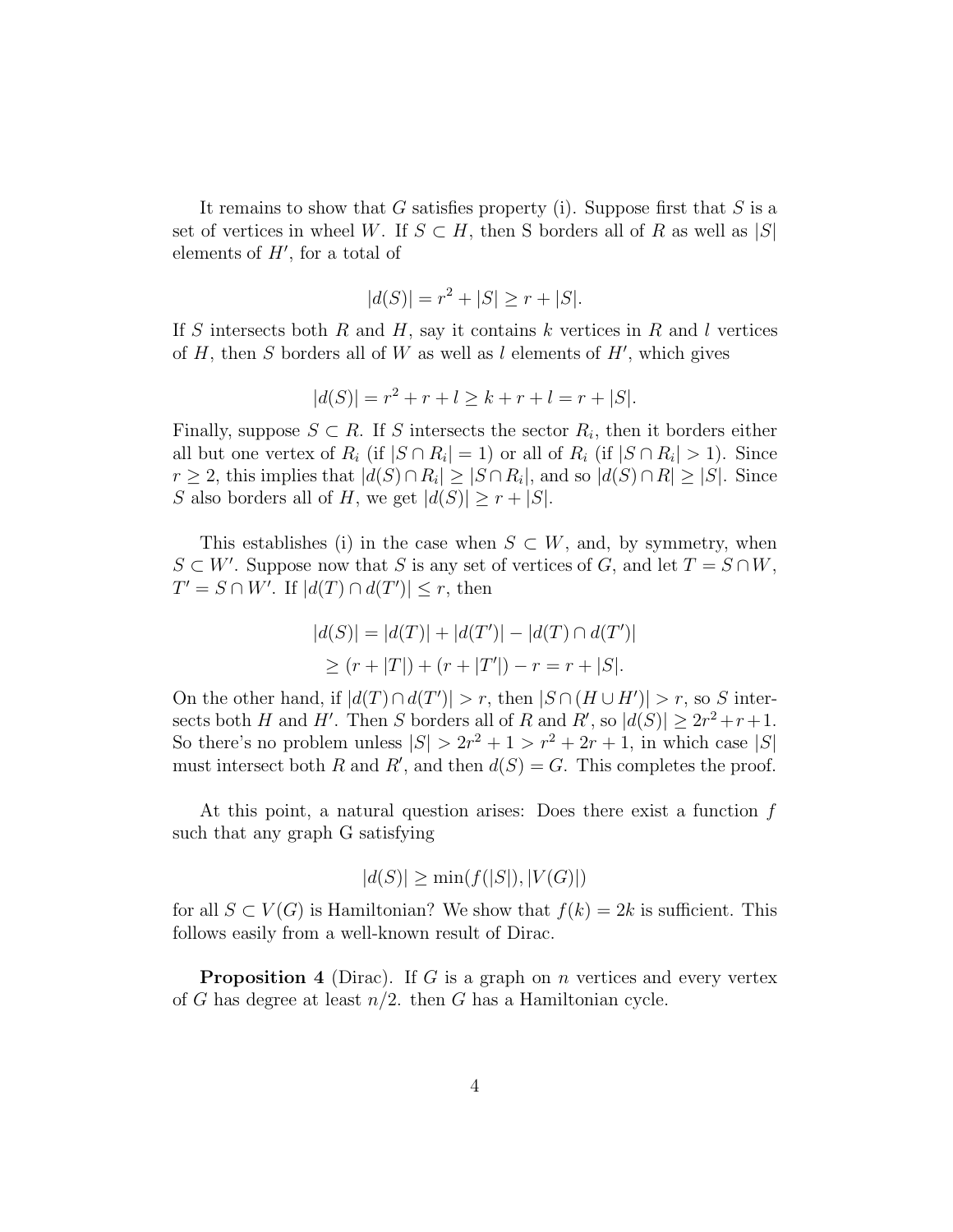It remains to show that G satisfies property (i). Suppose first that  $S$  is a set of vertices in wheel W. If  $S \subset H$ , then S borders all of R as well as |S| elements of  $H'$ , for a total of

$$
|d(S)| = r^2 + |S| \ge r + |S|.
$$

If S intersects both R and H, say it contains k vertices in R and l vertices of  $H$ , then  $S$  borders all of  $W$  as well as  $l$  elements of  $H'$ , which gives

$$
|d(S)| = r^2 + r + l \ge k + r + l = r + |S|.
$$

Finally, suppose  $S \subset R$ . If S intersects the sector  $R_i$ , then it borders either all but one vertex of  $R_i$  (if  $|S \cap R_i| = 1$ ) or all of  $R_i$  (if  $|S \cap R_i| > 1$ ). Since  $r \geq 2$ , this implies that  $|d(S) \cap R_i| \geq |S \cap R_i|$ , and so  $|d(S) \cap R| \geq |S|$ . Since S also borders all of H, we get  $|d(S)| \geq r + |S|$ .

This establishes (i) in the case when  $S \subset W$ , and, by symmetry, when  $S \subset W'$ . Suppose now that S is any set of vertices of G, and let  $T = S \cap W$ ,  $T' = S \cap W'$ . If  $|d(T) \cap d(T')| \leq r$ , then

$$
|d(S)| = |d(T)| + |d(T')| - |d(T) \cap d(T')|
$$
  
\n
$$
\geq (r + |T|) + (r + |T'|) - r = r + |S|.
$$

On the other hand, if  $|d(T) \cap d(T')| > r$ , then  $|S \cap (H \cup H')| > r$ , so S intersects both H and H'. Then S borders all of R and  $R'$ , so  $|d(S)| \geq 2r^2 + r + 1$ . So there's no problem unless  $|S| > 2r^2 + 1 > r^2 + 2r + 1$ , in which case  $|S|$ must intersect both R and R', and then  $d(S) = G$ . This completes the proof.

At this point, a natural question arises: Does there exist a function  $f$ such that any graph G satisfying

$$
|d(S)| \ge \min(f(|S|), |V(G)|)
$$

for all  $S \subset V(G)$  is Hamiltonian? We show that  $f(k) = 2k$  is sufficient. This follows easily from a well-known result of Dirac.

**Proposition 4** (Dirac). If G is a graph on n vertices and every vertex of G has degree at least  $n/2$ . then G has a Hamiltonian cycle.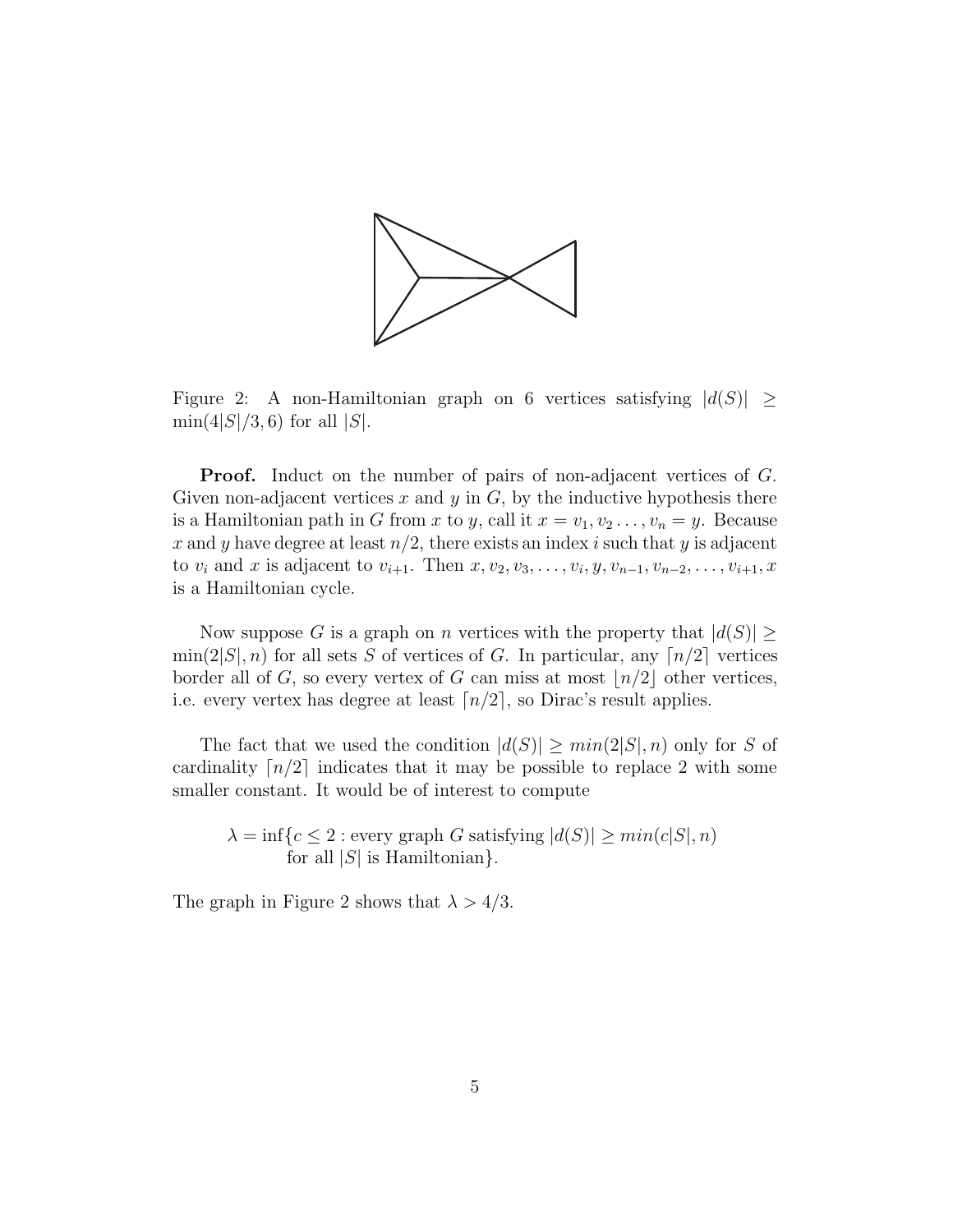

Figure 2: A non-Hamiltonian graph on 6 vertices satisfying  $|d(S)| \ge$  $\min(4|S|/3, 6)$  for all  $|S|$ .

**Proof.** Induct on the number of pairs of non-adjacent vertices of G. Given non-adjacent vertices x and y in  $G$ , by the inductive hypothesis there is a Hamiltonian path in G from x to y, call it  $x = v_1, v_2, \ldots, v_n = y$ . Because x and y have degree at least  $n/2$ , there exists an index i such that y is adjacent to  $v_i$  and x is adjacent to  $v_{i+1}$ . Then  $x, v_2, v_3, \ldots, v_i, y, v_{n-1}, v_{n-2}, \ldots, v_{i+1}, x$ is a Hamiltonian cycle.

Now suppose G is a graph on n vertices with the property that  $|d(S)| \geq$  $\min(2|S|, n)$  for all sets S of vertices of G. In particular, any  $\lfloor n/2 \rfloor$  vertices border all of G, so every vertex of G can miss at most  $\lfloor n/2 \rfloor$  other vertices, i.e. every vertex has degree at least  $\lceil n/2 \rceil$ , so Dirac's result applies.

The fact that we used the condition  $|d(S)| \geq min(2|S|, n)$  only for S of cardinality  $\lceil n/2 \rceil$  indicates that it may be possible to replace 2 with some smaller constant. It would be of interest to compute

 $\lambda = \inf\{c \leq 2 : \text{every graph } G \text{ satisfying } |d(S)| \geq \min(c|S|, n)$ for all  $|S|$  is Hamiltonian $\}$ .

The graph in Figure 2 shows that  $\lambda > 4/3$ .